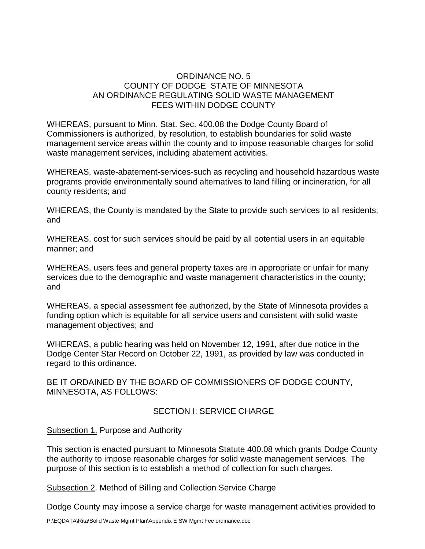### ORDINANCE NO. 5 COUNTY OF DODGE STATE OF MINNESOTA AN ORDINANCE REGULATING SOLID WASTE MANAGEMENT FEES WITHIN DODGE COUNTY

WHEREAS, pursuant to Minn. Stat. Sec. 400.08 the Dodge County Board of Commissioners is authorized, by resolution, to establish boundaries for solid waste management service areas within the county and to impose reasonable charges for solid waste management services, including abatement activities.

WHEREAS, waste-abatement-services-such as recycling and household hazardous waste programs provide environmentally sound alternatives to land filling or incineration, for all county residents; and

WHEREAS, the County is mandated by the State to provide such services to all residents; and

WHEREAS, cost for such services should be paid by all potential users in an equitable manner; and

WHEREAS, users fees and general property taxes are in appropriate or unfair for many services due to the demographic and waste management characteristics in the county; and

WHEREAS, a special assessment fee authorized, by the State of Minnesota provides a funding option which is equitable for all service users and consistent with solid waste management objectives; and

WHEREAS, a public hearing was held on November 12, 1991, after due notice in the Dodge Center Star Record on October 22, 1991, as provided by law was conducted in regard to this ordinance.

BE IT ORDAINED BY THE BOARD OF COMMISSIONERS OF DODGE COUNTY, MINNESOTA, AS FOLLOWS:

### SECTION I: SERVICE CHARGE

### Subsection 1. Purpose and Authority

This section is enacted pursuant to Minnesota Statute 400.08 which grants Dodge County the authority to impose reasonable charges for solid waste management services. The purpose of this section is to establish a method of collection for such charges.

Subsection 2. Method of Billing and Collection Service Charge

Dodge County may impose a service charge for waste management activities provided to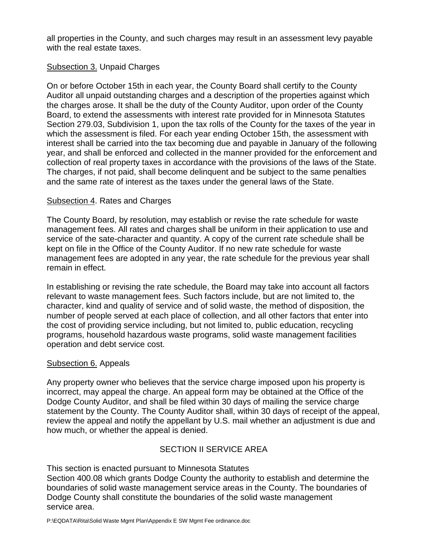all properties in the County, and such charges may result in an assessment levy payable with the real estate taxes.

# Subsection 3. Unpaid Charges

On or before October 15th in each year, the County Board shall certify to the County Auditor all unpaid outstanding charges and a description of the properties against which the charges arose. It shall be the duty of the County Auditor, upon order of the County Board, to extend the assessments with interest rate provided for in Minnesota Statutes Section 279.03, Subdivision 1, upon the tax rolls of the County for the taxes of the year in which the assessment is filed. For each year ending October 15th, the assessment with interest shall be carried into the tax becoming due and payable in January of the following year, and shall be enforced and collected in the manner provided for the enforcement and collection of real property taxes in accordance with the provisions of the laws of the State. The charges, if not paid, shall become delinquent and be subject to the same penalties and the same rate of interest as the taxes under the general laws of the State.

## Subsection 4. Rates and Charges

The County Board, by resolution, may establish or revise the rate schedule for waste management fees. All rates and charges shall be uniform in their application to use and service of the sate-character and quantity. A copy of the current rate schedule shall be kept on file in the Office of the County Auditor. If no new rate schedule for waste management fees are adopted in any year, the rate schedule for the previous year shall remain in effect.

In establishing or revising the rate schedule, the Board may take into account all factors relevant to waste management fees. Such factors include, but are not limited to, the character, kind and quality of service and of solid waste, the method of disposition, the number of people served at each place of collection, and all other factors that enter into the cost of providing service including, but not limited to, public education, recycling programs, household hazardous waste programs, solid waste management facilities operation and debt service cost.

### Subsection 6. Appeals

Any property owner who believes that the service charge imposed upon his property is incorrect, may appeal the charge. An appeal form may be obtained at the Office of the Dodge County Auditor, and shall be filed within 30 days of mailing the service charge statement by the County. The County Auditor shall, within 30 days of receipt of the appeal, review the appeal and notify the appellant by U.S. mail whether an adjustment is due and how much, or whether the appeal is denied.

# SECTION II SERVICE AREA

This section is enacted pursuant to Minnesota Statutes Section 400.08 which grants Dodge County the authority to establish and determine the boundaries of solid waste management service areas in the County. The boundaries of Dodge County shall constitute the boundaries of the solid waste management service area.